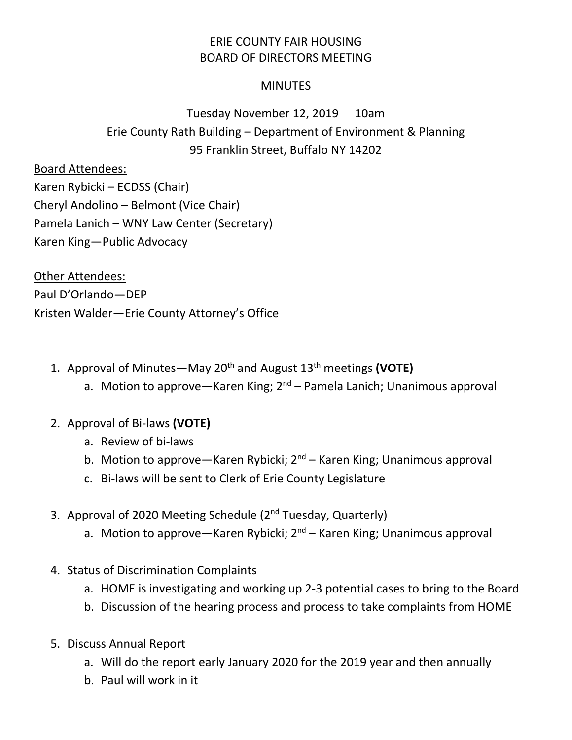## ERIE COUNTY FAIR HOUSING BOARD OF DIRECTORS MEETING

## **MINUTES**

## Tuesday November 12, 2019 10am Erie County Rath Building – Department of Environment & Planning 95 Franklin Street, Buffalo NY 14202

## Board Attendees:

Karen Rybicki – ECDSS (Chair) Cheryl Andolino – Belmont (Vice Chair) Pamela Lanich – WNY Law Center (Secretary) Karen King—Public Advocacy

Other Attendees: Paul D'Orlando—DEP Kristen Walder—Erie County Attorney's Office

- 1. Approval of Minutes—May 20th and August 13th meetings **(VOTE)**
	- a. Motion to approve—Karen King;  $2^{nd}$  Pamela Lanich; Unanimous approval
- 2. Approval of Bi-laws **(VOTE)**
	- a. Review of bi-laws
	- b. Motion to approve—Karen Rybicki; 2<sup>nd</sup> Karen King; Unanimous approval
	- c. Bi-laws will be sent to Clerk of Erie County Legislature
- 3. Approval of 2020 Meeting Schedule (2<sup>nd</sup> Tuesday, Quarterly)
	- a. Motion to approve—Karen Rybicki; 2<sup>nd</sup> Karen King; Unanimous approval
- 4. Status of Discrimination Complaints
	- a. HOME is investigating and working up 2-3 potential cases to bring to the Board
	- b. Discussion of the hearing process and process to take complaints from HOME
- 5. Discuss Annual Report
	- a. Will do the report early January 2020 for the 2019 year and then annually
	- b. Paul will work in it